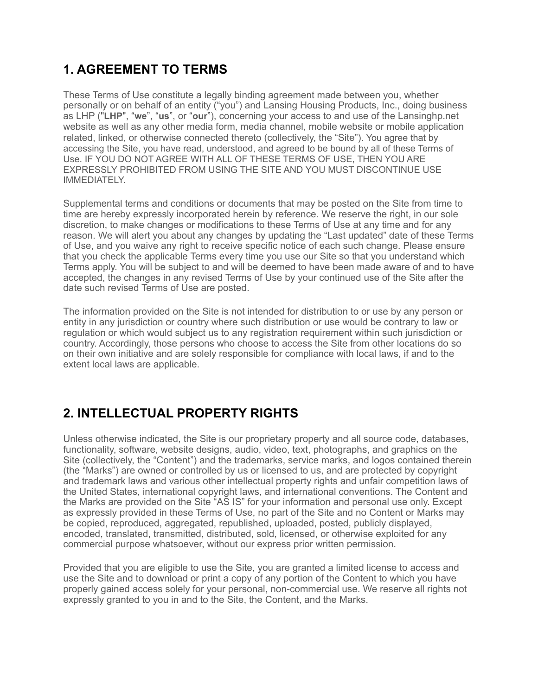# **1. AGREEMENT TO TERMS**

These Terms of Use constitute a legally binding agreement made between you, whether personally or on behalf of an entity ("you") and Lansing Housing Products, Inc., doing business as LHP ("**LHP**", "**we**", "**us**", or "**our**"), concerning your access to and use of the Lansinghp.net website as well as any other media form, media channel, mobile website or mobile application related, linked, or otherwise connected thereto (collectively, the "Site"). You agree that by accessing the Site, you have read, understood, and agreed to be bound by all of these Terms of Use. IF YOU DO NOT AGREE WITH ALL OF THESE TERMS OF USE, THEN YOU ARE EXPRESSLY PROHIBITED FROM USING THE SITE AND YOU MUST DISCONTINUE USE IMMEDIATELY.

Supplemental terms and conditions or documents that may be posted on the Site from time to time are hereby expressly incorporated herein by reference. We reserve the right, in our sole discretion, to make changes or modifications to these Terms of Use at any time and for any reason. We will alert you about any changes by updating the "Last updated" date of these Terms of Use, and you waive any right to receive specific notice of each such change. Please ensure that you check the applicable Terms every time you use our Site so that you understand which Terms apply. You will be subject to and will be deemed to have been made aware of and to have accepted, the changes in any revised Terms of Use by your continued use of the Site after the date such revised Terms of Use are posted.

The information provided on the Site is not intended for distribution to or use by any person or entity in any jurisdiction or country where such distribution or use would be contrary to law or regulation or which would subject us to any registration requirement within such jurisdiction or country. Accordingly, those persons who choose to access the Site from other locations do so on their own initiative and are solely responsible for compliance with local laws, if and to the extent local laws are applicable.

## **2. INTELLECTUAL PROPERTY RIGHTS**

Unless otherwise indicated, the Site is our proprietary property and all source code, databases, functionality, software, website designs, audio, video, text, photographs, and graphics on the Site (collectively, the "Content") and the trademarks, service marks, and logos contained therein (the "Marks") are owned or controlled by us or licensed to us, and are protected by copyright and trademark laws and various other intellectual property rights and unfair competition laws of the United States, international copyright laws, and international conventions. The Content and the Marks are provided on the Site "AS IS" for your information and personal use only. Except as expressly provided in these Terms of Use, no part of the Site and no Content or Marks may be copied, reproduced, aggregated, republished, uploaded, posted, publicly displayed, encoded, translated, transmitted, distributed, sold, licensed, or otherwise exploited for any commercial purpose whatsoever, without our express prior written permission.

Provided that you are eligible to use the Site, you are granted a limited license to access and use the Site and to download or print a copy of any portion of the Content to which you have properly gained access solely for your personal, non-commercial use. We reserve all rights not expressly granted to you in and to the Site, the Content, and the Marks.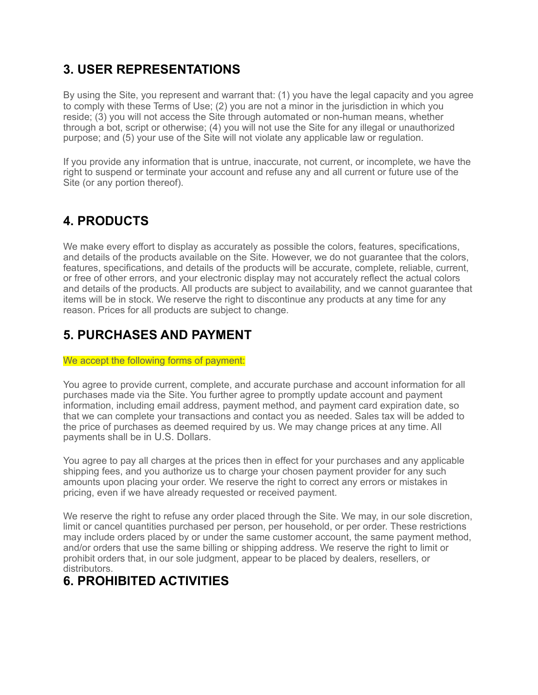# **3. USER REPRESENTATIONS**

By using the Site, you represent and warrant that: (1) you have the legal capacity and you agree to comply with these Terms of Use; (2) you are not a minor in the jurisdiction in which you reside; (3) you will not access the Site through automated or non-human means, whether through a bot, script or otherwise; (4) you will not use the Site for any illegal or unauthorized purpose; and (5) your use of the Site will not violate any applicable law or regulation.

If you provide any information that is untrue, inaccurate, not current, or incomplete, we have the right to suspend or terminate your account and refuse any and all current or future use of the Site (or any portion thereof).

# **4. PRODUCTS**

We make every effort to display as accurately as possible the colors, features, specifications, and details of the products available on the Site. However, we do not guarantee that the colors, features, specifications, and details of the products will be accurate, complete, reliable, current, or free of other errors, and your electronic display may not accurately reflect the actual colors and details of the products. All products are subject to availability, and we cannot guarantee that items will be in stock. We reserve the right to discontinue any products at any time for any reason. Prices for all products are subject to change.

#### **5. PURCHASES AND PAYMENT**

#### We accept the following forms of payment:

You agree to provide current, complete, and accurate purchase and account information for all purchases made via the Site. You further agree to promptly update account and payment information, including email address, payment method, and payment card expiration date, so that we can complete your transactions and contact you as needed. Sales tax will be added to the price of purchases as deemed required by us. We may change prices at any time. All payments shall be in U.S. Dollars.

You agree to pay all charges at the prices then in effect for your purchases and any applicable shipping fees, and you authorize us to charge your chosen payment provider for any such amounts upon placing your order. We reserve the right to correct any errors or mistakes in pricing, even if we have already requested or received payment.

We reserve the right to refuse any order placed through the Site. We may, in our sole discretion, limit or cancel quantities purchased per person, per household, or per order. These restrictions may include orders placed by or under the same customer account, the same payment method, and/or orders that use the same billing or shipping address. We reserve the right to limit or prohibit orders that, in our sole judgment, appear to be placed by dealers, resellers, or distributors.

## **6. PROHIBITED ACTIVITIES**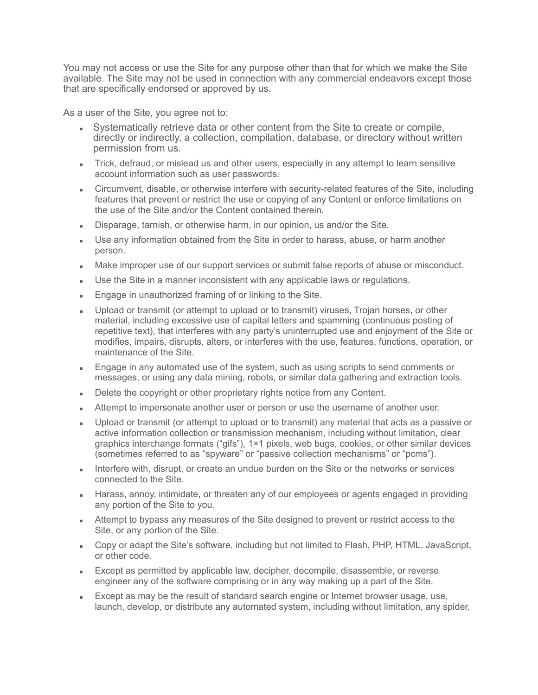You may not access or use the Site for any purpose other than that for which we make the Site available. The Site may not be used in connection with any commercial endeavors except those that are specifically endorsed or approved by us.

As a user of the Site, you agree not to:

- **EXECT** Systematically retrieve data or other content from the Site to create or compile, directly or indirectly, a collection, compilation, database, or directory without written permission from us.
- **EXECT** Trick, defraud, or mislead us and other users, especially in any attempt to learn sensitive account information such as user passwords.
- **EXECT** Circumvent, disable, or otherwise interfere with security-related features of the Site, including features that prevent or restrict the use or copying of any Content or enforce limitations on the use of the Site and/or the Content contained therein.
- Disparage, tarnish, or otherwise harm, in our opinion, us and/or the Site.
- Use any information obtained from the Site in order to harass, abuse, or harm another person.
- Make improper use of our support services or submit false reports of abuse or misconduct.
- **■** Use the Site in a manner inconsistent with any applicable laws or regulations.
- Engage in unauthorized framing of or linking to the Site.
- Upload or transmit (or attempt to upload or to transmit) viruses. Trojan horses, or other material, including excessive use of capital letters and spamming (continuous posting of repetitive text), that interferes with any party's uninterrupted use and enjoyment of the Site or modifies, impairs, disrupts, alters, or interferes with the use, features, functions, operation, or maintenance of the Site.
- Engage in any automated use of the system, such as using scripts to send comments or messages, or using any data mining, robots, or similar data gathering and extraction tools.
- Delete the copyright or other proprietary rights notice from any Content.
- Attempt to impersonate another user or person or use the username of another user.
- Upload or transmit (or attempt to upload or to transmit) any material that acts as a passive or active information collection or transmission mechanism, including without limitation, clear graphics interchange formats ("gifs"), 1×1 pixels, web bugs, cookies, or other similar devices (sometimes referred to as "spyware" or "passive collection mechanisms" or "pcms").
- **EXECT** Interfere with, disrupt, or create an undue burden on the Site or the networks or services connected to the Site.
- **EXECT** Harass, annoy, intimidate, or threaten any of our employees or agents engaged in providing any portion of the Site to you.
- **EXECT** Attempt to bypass any measures of the Site designed to prevent or restrict access to the Site, or any portion of the Site.
- Copy or adapt the Site's software, including but not limited to Flash, PHP, HTML, JavaScript, or other code.
- **Except as permitted by applicable law, decipher, decompile, disassemble, or reverse** engineer any of the software comprising or in any way making up a part of the Site.
- **Except as may be the result of standard search engine or Internet browser usage, use,** launch, develop, or distribute any automated system, including without limitation, any spider,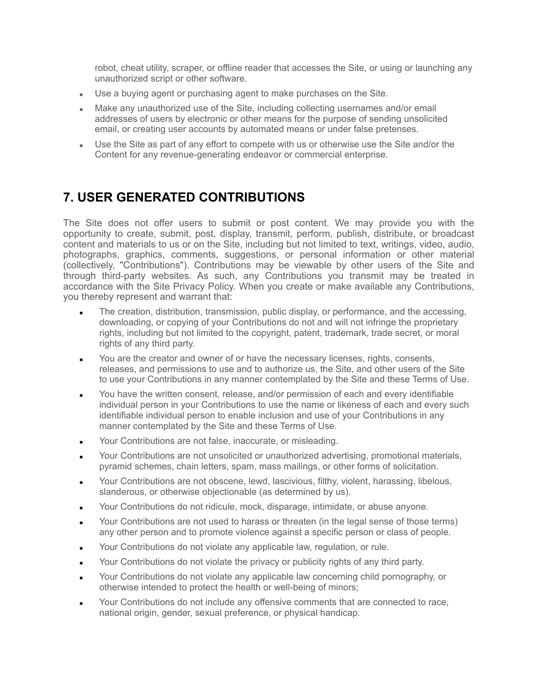robot, cheat utility, scraper, or offline reader that accesses the Site, or using or launching any unauthorized script or other software.

- **Use a buying agent or purchasing agent to make purchases on the Site.**
- **■** Make any unauthorized use of the Site, including collecting usernames and/or email addresses of users by electronic or other means for the purpose of sending unsolicited email, or creating user accounts by automated means or under false pretenses.
- **■** Use the Site as part of any effort to compete with us or otherwise use the Site and/or the Content for any revenue-generating endeavor or commercial enterprise.

#### **7. USER GENERATED CONTRIBUTIONS**

The Site does not offer users to submit or post content. We may provide you with the opportunity to create, submit, post, display, transmit, perform, publish, distribute, or broadcast content and materials to us or on the Site, including but not limited to text, writings, video, audio, photographs, graphics, comments, suggestions, or personal information or other material (collectively, "Contributions"). Contributions may be viewable by other users of the Site and through third-party websites. As such, any Contributions you transmit may be treated in accordance with the Site Privacy Policy. When you create or make available any Contributions, you thereby represent and warrant that:

- The creation, distribution, transmission, public display, or performance, and the accessing, downloading, or copying of your Contributions do not and will not infringe the proprietary rights, including but not limited to the copyright, patent, trademark, trade secret, or moral rights of any third party.
- You are the creator and owner of or have the necessary licenses, rights, consents, releases, and permissions to use and to authorize us, the Site, and other users of the Site to use your Contributions in any manner contemplated by the Site and these Terms of Use.
- You have the written consent, release, and/or permission of each and every identifiable individual person in your Contributions to use the name or likeness of each and every such identifiable individual person to enable inclusion and use of your Contributions in any manner contemplated by the Site and these Terms of Use.
- **EXECUTE:** Your Contributions are not false, inaccurate, or misleading.
- Your Contributions are not unsolicited or unauthorized advertising, promotional materials, pyramid schemes, chain letters, spam, mass mailings, or other forms of solicitation.
- Your Contributions are not obscene, lewd, lascivious, filthy, violent, harassing, libelous, slanderous, or otherwise objectionable (as determined by us).
- Your Contributions do not ridicule, mock, disparage, intimidate, or abuse anyone.
- Your Contributions are not used to harass or threaten (in the legal sense of those terms) any other person and to promote violence against a specific person or class of people.
- **EXECT** Your Contributions do not violate any applicable law, regulation, or rule.
- Your Contributions do not violate the privacy or publicity rights of any third party.
- Your Contributions do not violate any applicable law concerning child pornography, or otherwise intended to protect the health or well-being of minors;
- **EXECT** Your Contributions do not include any offensive comments that are connected to race, national origin, gender, sexual preference, or physical handicap.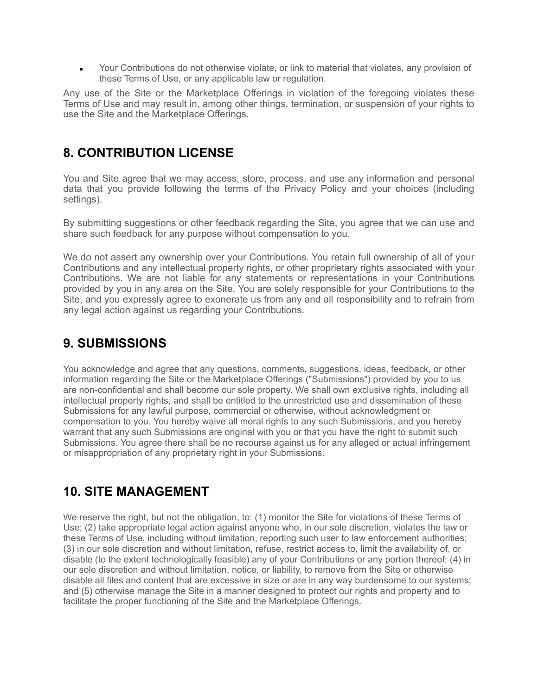Your Contributions do not otherwise violate, or link to material that violates, any provision of these Terms of Use, or any applicable law or regulation.

Any use of the Site or the Marketplace Offerings in violation of the foregoing violates these Terms of Use and may result in, among other things, termination, or suspension of your rights to use the Site and the Marketplace Offerings.

#### **8. CONTRIBUTION LICENSE**

You and Site agree that we may access, store, process, and use any information and personal data that you provide following the terms of the Privacy Policy and your choices (including settings).

By submitting suggestions or other feedback regarding the Site, you agree that we can use and share such feedback for any purpose without compensation to you.

We do not assert any ownership over your Contributions. You retain full ownership of all of your Contributions and any intellectual property rights, or other proprietary rights associated with your Contributions. We are not liable for any statements or representations in your Contributions provided by you in any area on the Site. You are solely responsible for your Contributions to the Site, and you expressly agree to exonerate us from any and all responsibility and to refrain from any legal action against us regarding your Contributions.

#### **9. SUBMISSIONS**

You acknowledge and agree that any questions, comments, suggestions, ideas, feedback, or other information regarding the Site or the Marketplace Offerings ("Submissions") provided by you to us are non-confidential and shall become our sole property. We shall own exclusive rights, including all intellectual property rights, and shall be entitled to the unrestricted use and dissemination of these Submissions for any lawful purpose, commercial or otherwise, without acknowledgment or compensation to you. You hereby waive all moral rights to any such Submissions, and you hereby warrant that any such Submissions are original with you or that you have the right to submit such Submissions. You agree there shall be no recourse against us for any alleged or actual infringement or misappropriation of any proprietary right in your Submissions.

## **10. SITE MANAGEMENT**

We reserve the right, but not the obligation, to: (1) monitor the Site for violations of these Terms of Use; (2) take appropriate legal action against anyone who, in our sole discretion, violates the law or these Terms of Use, including without limitation, reporting such user to law enforcement authorities; (3) in our sole discretion and without limitation, refuse, restrict access to, limit the availability of, or disable (to the extent technologically feasible) any of your Contributions or any portion thereof; (4) in our sole discretion and without limitation, notice, or liability, to remove from the Site or otherwise disable all files and content that are excessive in size or are in any way burdensome to our systems; and (5) otherwise manage the Site in a manner designed to protect our rights and property and to facilitate the proper functioning of the Site and the Marketplace Offerings.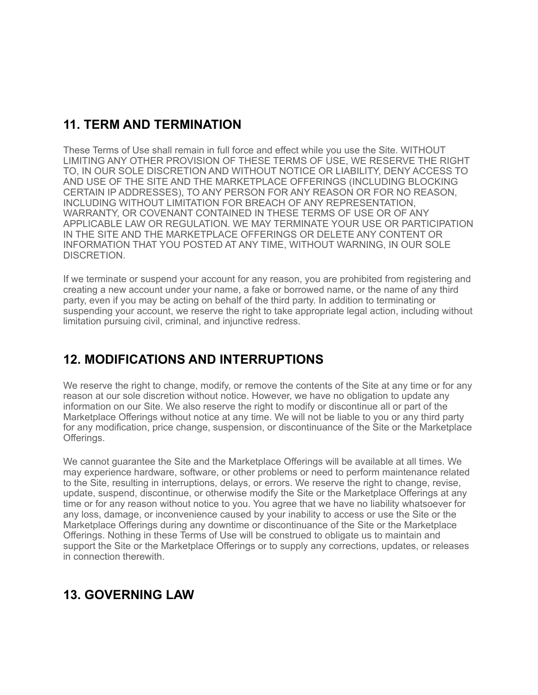# **11. TERM AND TERMINATION**

These Terms of Use shall remain in full force and effect while you use the Site. WITHOUT LIMITING ANY OTHER PROVISION OF THESE TERMS OF USE, WE RESERVE THE RIGHT TO, IN OUR SOLE DISCRETION AND WITHOUT NOTICE OR LIABILITY, DENY ACCESS TO AND USE OF THE SITE AND THE MARKETPLACE OFFERINGS (INCLUDING BLOCKING CERTAIN IP ADDRESSES), TO ANY PERSON FOR ANY REASON OR FOR NO REASON, INCLUDING WITHOUT LIMITATION FOR BREACH OF ANY REPRESENTATION, WARRANTY, OR COVENANT CONTAINED IN THESE TERMS OF USE OR OF ANY APPLICABLE LAW OR REGULATION. WE MAY TERMINATE YOUR USE OR PARTICIPATION IN THE SITE AND THE MARKETPLACE OFFERINGS OR DELETE ANY CONTENT OR INFORMATION THAT YOU POSTED AT ANY TIME, WITHOUT WARNING, IN OUR SOLE **DISCRETION** 

If we terminate or suspend your account for any reason, you are prohibited from registering and creating a new account under your name, a fake or borrowed name, or the name of any third party, even if you may be acting on behalf of the third party. In addition to terminating or suspending your account, we reserve the right to take appropriate legal action, including without limitation pursuing civil, criminal, and injunctive redress.

## **12. MODIFICATIONS AND INTERRUPTIONS**

We reserve the right to change, modify, or remove the contents of the Site at any time or for any reason at our sole discretion without notice. However, we have no obligation to update any information on our Site. We also reserve the right to modify or discontinue all or part of the Marketplace Offerings without notice at any time. We will not be liable to you or any third party for any modification, price change, suspension, or discontinuance of the Site or the Marketplace Offerings.

We cannot guarantee the Site and the Marketplace Offerings will be available at all times. We may experience hardware, software, or other problems or need to perform maintenance related to the Site, resulting in interruptions, delays, or errors. We reserve the right to change, revise, update, suspend, discontinue, or otherwise modify the Site or the Marketplace Offerings at any time or for any reason without notice to you. You agree that we have no liability whatsoever for any loss, damage, or inconvenience caused by your inability to access or use the Site or the Marketplace Offerings during any downtime or discontinuance of the Site or the Marketplace Offerings. Nothing in these Terms of Use will be construed to obligate us to maintain and support the Site or the Marketplace Offerings or to supply any corrections, updates, or releases in connection therewith.

## **13. GOVERNING LAW**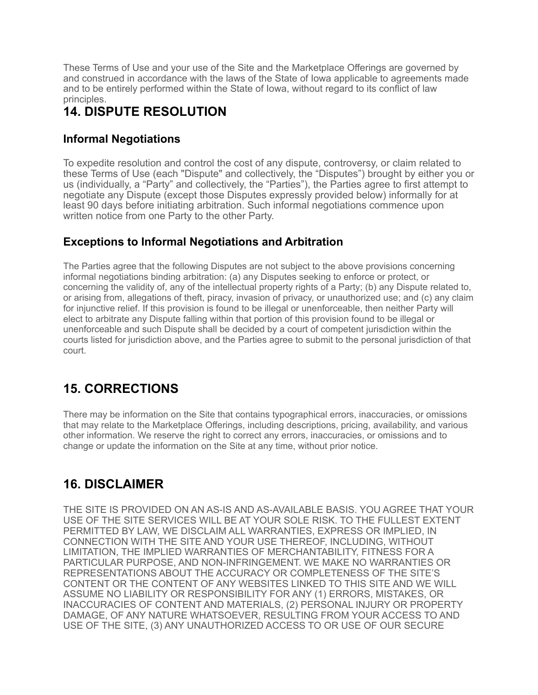These Terms of Use and your use of the Site and the Marketplace Offerings are governed by and construed in accordance with the laws of the State of Iowa applicable to agreements made and to be entirely performed within the State of Iowa, without regard to its conflict of law principles.

#### **14. DISPUTE RESOLUTION**

#### **Informal Negotiations**

To expedite resolution and control the cost of any dispute, controversy, or claim related to these Terms of Use (each "Dispute" and collectively, the "Disputes") brought by either you or us (individually, a "Party" and collectively, the "Parties"), the Parties agree to first attempt to negotiate any Dispute (except those Disputes expressly provided below) informally for at least 90 days before initiating arbitration. Such informal negotiations commence upon written notice from one Party to the other Party.

#### **Exceptions to Informal Negotiations and Arbitration**

The Parties agree that the following Disputes are not subject to the above provisions concerning informal negotiations binding arbitration: (a) any Disputes seeking to enforce or protect, or concerning the validity of, any of the intellectual property rights of a Party; (b) any Dispute related to, or arising from, allegations of theft, piracy, invasion of privacy, or unauthorized use; and (c) any claim for injunctive relief. If this provision is found to be illegal or unenforceable, then neither Party will elect to arbitrate any Dispute falling within that portion of this provision found to be illegal or unenforceable and such Dispute shall be decided by a court of competent jurisdiction within the courts listed for jurisdiction above, and the Parties agree to submit to the personal jurisdiction of that court.

## **15. CORRECTIONS**

There may be information on the Site that contains typographical errors, inaccuracies, or omissions that may relate to the Marketplace Offerings, including descriptions, pricing, availability, and various other information. We reserve the right to correct any errors, inaccuracies, or omissions and to change or update the information on the Site at any time, without prior notice.

## **16. DISCLAIMER**

THE SITE IS PROVIDED ON AN AS-IS AND AS-AVAILABLE BASIS. YOU AGREE THAT YOUR USE OF THE SITE SERVICES WILL BE AT YOUR SOLE RISK. TO THE FULLEST EXTENT PERMITTED BY LAW, WE DISCLAIM ALL WARRANTIES, EXPRESS OR IMPLIED, IN CONNECTION WITH THE SITE AND YOUR USE THEREOF, INCLUDING, WITHOUT LIMITATION, THE IMPLIED WARRANTIES OF MERCHANTABILITY, FITNESS FOR A PARTICULAR PURPOSE, AND NON-INFRINGEMENT. WE MAKE NO WARRANTIES OR REPRESENTATIONS ABOUT THE ACCURACY OR COMPLETENESS OF THE SITE'S CONTENT OR THE CONTENT OF ANY WEBSITES LINKED TO THIS SITE AND WE WILL ASSUME NO LIABILITY OR RESPONSIBILITY FOR ANY (1) ERRORS, MISTAKES, OR INACCURACIES OF CONTENT AND MATERIALS, (2) PERSONAL INJURY OR PROPERTY DAMAGE, OF ANY NATURE WHATSOEVER, RESULTING FROM YOUR ACCESS TO AND USE OF THE SITE, (3) ANY UNAUTHORIZED ACCESS TO OR USE OF OUR SECURE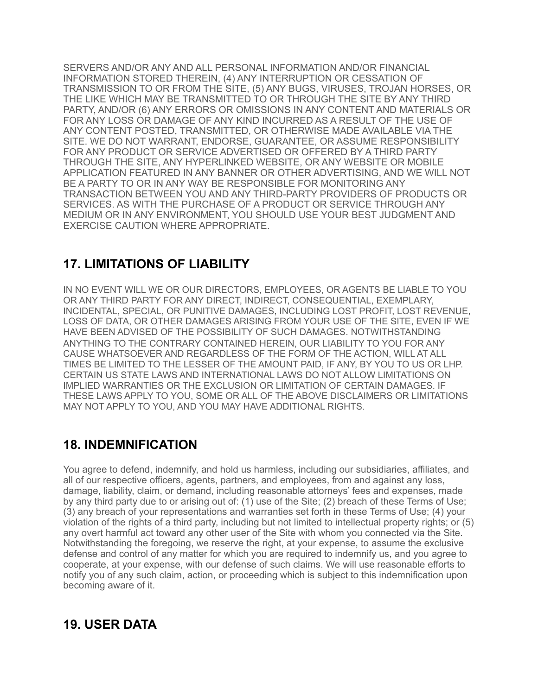SERVERS AND/OR ANY AND ALL PERSONAL INFORMATION AND/OR FINANCIAL INFORMATION STORED THEREIN, (4) ANY INTERRUPTION OR CESSATION OF TRANSMISSION TO OR FROM THE SITE, (5) ANY BUGS, VIRUSES, TROJAN HORSES, OR THE LIKE WHICH MAY BE TRANSMITTED TO OR THROUGH THE SITE BY ANY THIRD PARTY, AND/OR (6) ANY ERRORS OR OMISSIONS IN ANY CONTENT AND MATERIALS OR FOR ANY LOSS OR DAMAGE OF ANY KIND INCURRED AS A RESULT OF THE USE OF ANY CONTENT POSTED, TRANSMITTED, OR OTHERWISE MADE AVAILABLE VIA THE SITE. WE DO NOT WARRANT, ENDORSE, GUARANTEE, OR ASSUME RESPONSIBILITY FOR ANY PRODUCT OR SERVICE ADVERTISED OR OFFERED BY A THIRD PARTY THROUGH THE SITE, ANY HYPERLINKED WEBSITE, OR ANY WEBSITE OR MOBILE APPLICATION FEATURED IN ANY BANNER OR OTHER ADVERTISING, AND WE WILL NOT BE A PARTY TO OR IN ANY WAY BE RESPONSIBLE FOR MONITORING ANY TRANSACTION BETWEEN YOU AND ANY THIRD-PARTY PROVIDERS OF PRODUCTS OR SERVICES. AS WITH THE PURCHASE OF A PRODUCT OR SERVICE THROUGH ANY MEDIUM OR IN ANY ENVIRONMENT, YOU SHOULD USE YOUR BEST JUDGMENT AND EXERCISE CAUTION WHERE APPROPRIATE.

## **17. LIMITATIONS OF LIABILITY**

IN NO EVENT WILL WE OR OUR DIRECTORS, EMPLOYEES, OR AGENTS BE LIABLE TO YOU OR ANY THIRD PARTY FOR ANY DIRECT, INDIRECT, CONSEQUENTIAL, EXEMPLARY, INCIDENTAL, SPECIAL, OR PUNITIVE DAMAGES, INCLUDING LOST PROFIT, LOST REVENUE, LOSS OF DATA, OR OTHER DAMAGES ARISING FROM YOUR USE OF THE SITE, EVEN IF WE HAVE BEEN ADVISED OF THE POSSIBILITY OF SUCH DAMAGES. NOTWITHSTANDING ANYTHING TO THE CONTRARY CONTAINED HEREIN, OUR LIABILITY TO YOU FOR ANY CAUSE WHATSOEVER AND REGARDLESS OF THE FORM OF THE ACTION, WILL AT ALL TIMES BE LIMITED TO THE LESSER OF THE AMOUNT PAID, IF ANY, BY YOU TO US OR LHP. CERTAIN US STATE LAWS AND INTERNATIONAL LAWS DO NOT ALLOW LIMITATIONS ON IMPLIED WARRANTIES OR THE EXCLUSION OR LIMITATION OF CERTAIN DAMAGES. IF THESE LAWS APPLY TO YOU, SOME OR ALL OF THE ABOVE DISCLAIMERS OR LIMITATIONS MAY NOT APPLY TO YOU, AND YOU MAY HAVE ADDITIONAL RIGHTS.

## **18. INDEMNIFICATION**

You agree to defend, indemnify, and hold us harmless, including our subsidiaries, affiliates, and all of our respective officers, agents, partners, and employees, from and against any loss, damage, liability, claim, or demand, including reasonable attorneys' fees and expenses, made by any third party due to or arising out of: (1) use of the Site; (2) breach of these Terms of Use; (3) any breach of your representations and warranties set forth in these Terms of Use; (4) your violation of the rights of a third party, including but not limited to intellectual property rights; or (5) any overt harmful act toward any other user of the Site with whom you connected via the Site. Notwithstanding the foregoing, we reserve the right, at your expense, to assume the exclusive defense and control of any matter for which you are required to indemnify us, and you agree to cooperate, at your expense, with our defense of such claims. We will use reasonable efforts to notify you of any such claim, action, or proceeding which is subject to this indemnification upon becoming aware of it.

## **19. USER DATA**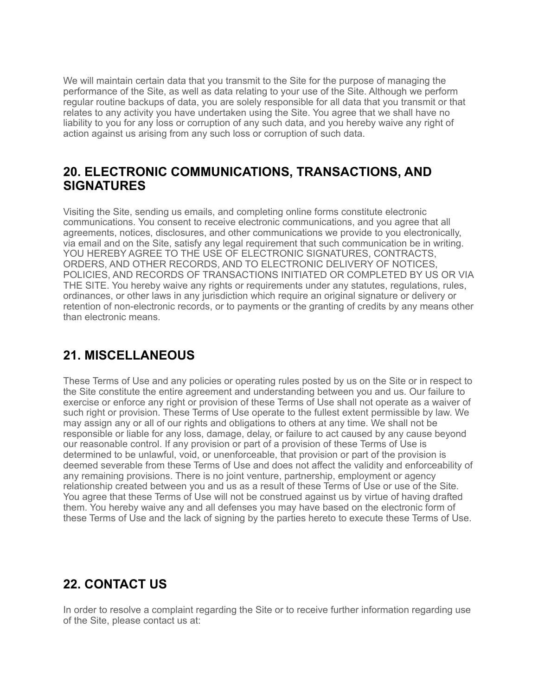We will maintain certain data that you transmit to the Site for the purpose of managing the performance of the Site, as well as data relating to your use of the Site. Although we perform regular routine backups of data, you are solely responsible for all data that you transmit or that relates to any activity you have undertaken using the Site. You agree that we shall have no liability to you for any loss or corruption of any such data, and you hereby waive any right of action against us arising from any such loss or corruption of such data.

#### **20. ELECTRONIC COMMUNICATIONS, TRANSACTIONS, AND SIGNATURES**

Visiting the Site, sending us emails, and completing online forms constitute electronic communications. You consent to receive electronic communications, and you agree that all agreements, notices, disclosures, and other communications we provide to you electronically, via email and on the Site, satisfy any legal requirement that such communication be in writing. YOU HEREBY AGREE TO THE USE OF ELECTRONIC SIGNATURES, CONTRACTS, ORDERS, AND OTHER RECORDS, AND TO ELECTRONIC DELIVERY OF NOTICES, POLICIES, AND RECORDS OF TRANSACTIONS INITIATED OR COMPLETED BY US OR VIA THE SITE. You hereby waive any rights or requirements under any statutes, regulations, rules, ordinances, or other laws in any jurisdiction which require an original signature or delivery or retention of non-electronic records, or to payments or the granting of credits by any means other than electronic means.

## **21. MISCELLANEOUS**

These Terms of Use and any policies or operating rules posted by us on the Site or in respect to the Site constitute the entire agreement and understanding between you and us. Our failure to exercise or enforce any right or provision of these Terms of Use shall not operate as a waiver of such right or provision. These Terms of Use operate to the fullest extent permissible by law. We may assign any or all of our rights and obligations to others at any time. We shall not be responsible or liable for any loss, damage, delay, or failure to act caused by any cause beyond our reasonable control. If any provision or part of a provision of these Terms of Use is determined to be unlawful, void, or unenforceable, that provision or part of the provision is deemed severable from these Terms of Use and does not affect the validity and enforceability of any remaining provisions. There is no joint venture, partnership, employment or agency relationship created between you and us as a result of these Terms of Use or use of the Site. You agree that these Terms of Use will not be construed against us by virtue of having drafted them. You hereby waive any and all defenses you may have based on the electronic form of these Terms of Use and the lack of signing by the parties hereto to execute these Terms of Use.

## **22. CONTACT US**

In order to resolve a complaint regarding the Site or to receive further information regarding use of the Site, please contact us at: